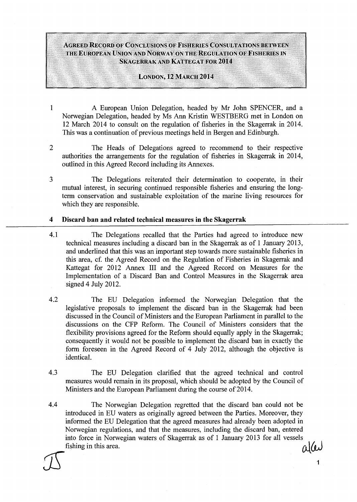# AGREED RECORD OF CONCLUSIONS OF FISHERIES CONSULTATIONS BETWEEN THE EUROPEAN UNION AND NORWAY ON THE REGULATION OF FISHERIES IN SKAGERRAK AND KATTEGAT FOR 2014

#### LONDON, 12 MARCH 2014

- 1 A European Union Delegation, headed by Mr John SPENCER, and a Norwegian Delegation, headed by Ms Ann Kristin WESTBERG met in London on 12 March 2014 to consult on the regulation of fisheries in the Skagerrak in 2014. This was a continuation of previous meetings held in Bergen and Edinburgh.
- 2 The Heads of Delegations agreed to recommend to their respective authorities the arrangements for the regulation of fisheries in Skagerrak in 2014, outlined in this Agreed Record including its Annexes.
- 3 The Delegations reiterated their determination to cooperate, in their mutual interest, in securing continued responsible fisheries and ensuring the longterm conservation and sustainable exploitation of the marine living resources for which they are responsible.

## 4 Discard ban and related technical measures in the Skagerrak

- 4.1 The Delegations recalled that the Parties had agreed to introduce new technical measures including a discard ban in the Skagerrak as of 1 January 2013, and underlined that this was an important step towards more sustainable fisheries in this area, cf. the Agreed Record on the Regulation of Fisheries in Skagerrak and Kattegat for 2012 Annex III and the Agreed Record on Measures for the Implementation of a Discard Ban and Control Measures in the Skagerrak area signed 4 July 2012.
- 4.2 The EU Delegation informed the Norwegian Delegation that the legislative proposals to implement the discard ban in the Skagerrak had been discussed in the Council of Ministers and the European Parliament in parallel to the discussions on the CFP Reform. The Council of Ministers considers that the flexibility provisions agreed for the Reform should equally apply in the Skagerrak; consequently it would not be possible to implement the discard ban in exactly the form foreseen in the Agreed Record of 4 July 2012, although the objective is identical.
- 4.3 The EU Delegation clarified that the agreed technical and control measures would remain in its proposal, which should be adopted by the Council of Ministers and the European Parliament during the course of  $2014$ .
- 4.4 The Norwegian Delegation regretted that the discard ban could not be introduced in EU waters as originally agreed between the Parties. Moreover, they informed the EU Delegation that the agreed measures had already been adopted in Norwegian regulations, and that the measures, including the discard ban, entered into force in Norwegian waters of Skagerrak as of 1 January 2013 for all vessels fishing in this area.  $\mathcal{A}(\mathbf{u})$  $I$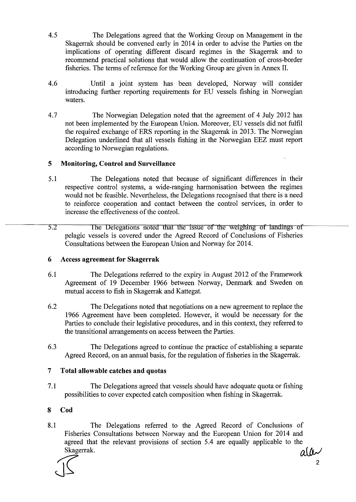4.5 The Delegations agreed that the Working Group on Management in the Skagerrak should be convened early in 2014 in order to advise the Parties on the implications of operating different discard regimes in the Skagerrak and to recommend practical solutions that would allow the continuation of cross-border fisheries. The terms of reference for the Working Group are given in Annex II.

- 4.6 Until a joint system has been developed, Norway will consider introducing further reporting requirements for EU vessels fishing in Norwegian waters.
- 4.7 The Norwegian Delegation noted that the agreement of 4 July 2012 has not been implemented by the European Union. Moreover, EU vessels did not fulfil the required exchange of ERS reporting in the Skagerrak in 2013. The Norwegian Delegation underlined that all vessels fishing in the Norwegian EEZ must report according to Norwegian regulations.

### **5 Monitoring, Control and Surveillance**

- 5.1 The Delegations noted that because of significant differences in their respective control systems, a wide-ranging harmonisation between the regimes would not be feasible. Nevertheless, the Delegations recognised that there is a need to reinforce cooperation and contact between the control services, in order to increase the effectiveness of the control.
- 5.2 The Delegations noted that the issue of the weighing of landings of pelagic vessels is covered under the Agreed Record of Conclusions of Fisheries Consultations between the European Union and Norway for 2014.

### **6** Access **agreement for Skagerrak**

- 6.1 The Delegations referred to the expiry in August 2012 of the Framework Agreement of 19 December 1966 between Norway, Denmark and Sweden on mutual access to fish in Skagerrak and Kattegat.
- 6.2 The Delegations noted that negotiations on a new agreement to replace the 1966 Agreement have been completed. However, it would be necessary for the Parties to conclude their legislative procedures, and in this context, they referred to the transitional arrangements on access between the Parties.
- 6.3 The Delegations agreed to continue the practice of establishing a separate Agreed Record, on an annual basis, for the regulation of fisheries in the Skagerrak.

### **7 Total allowable catches and quotas**

7.1 The Delegations agreed that vessels should have adequate quota or fishing possibilities to cover expected catch composition when fishing in Skagerrak.

#### **8 Cod**

8.1 The Delegations referred to the Agreed Record of Conclusions of Fisheries Consultations between Norway and the European Union for 2014 and agreed that the relevant provisions of section 5.4 are equally applicable to the Skagerrak.  $q(\mu)$ 

 $\int \sqrt{2}$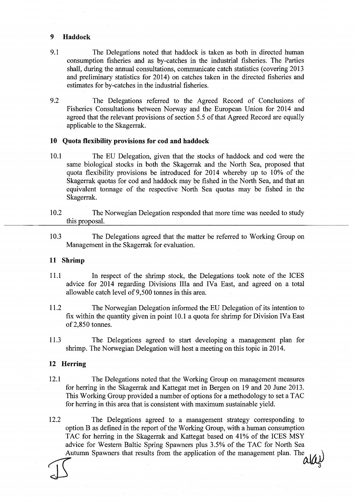### **9 Haddock**

- 9.1 The Delegations noted that haddock is taken as both in directed human consumption fisheries and as by-catches in the industrial fisheries. The Parties shall, during the annual consultations, communicate catch statistics (covering 2013 and preliminary statistics for 2014) on catches taken in the directed fisheries and estimates for by-catches in the industrial fisheries.
- 9.2 The Delegations referred to the Agreed Record of Conclusions of Fisheries Consultations between Norway and the European Union for 2014 and agreed that the relevant provisions of section 5.5 of that Agreed Record are equally applicable to the Skagerrak.

### **10 Quota flexibility provisions for cod and haddock**

- 10.1 The EU Delegation, given that the stocks of haddock and cod were the same biological stocks in both the Skagerrak and the North Sea, proposed that quota flexibility provisions be introduced for 2014 whereby up to 10% of the Skagerrak quotas for cod and haddock may be fished in the North Sea, and that an equivalent tonnage of the respective North Sea quotas may be fished in the Skagerrak.
- 10.2 The Norwegian Delegation responded that more time was needed to study this proposal.
- 10.3 The Delegations agreed that the matter be referred to Working Group on Management in the Skagerrak for evaluation.

## **11 Shrimp**

- 11.1 In respect of the shrimp stock, the Delegations took note of the ICES advice for 2014 regarding Divisions Ilia and IVa East, and agreed on a total allowable catch level of 9,500 tonnes in this area.
- 11.2 The Norwegian Delegation informed the EU Delegation of its intention to fix within the quantity given in point 10.1 a quota for shrimp for Division IVa East of2,850 tonnes.
- 11.3 The Delegations agreed to start developing a management plan for shrimp. The Norwegian Delegation will host a meeting on this topic in 2014.

### **12 Herring**

12.1 The Delegations noted that the Working Group on management measures for herring in the Skagerrak and Kattegat met in Bergen on 19 and 20 June 2013. This Working Group provided a number of options for a methodology to set a TAC for herring in this area that is consistent with maximum sustainable yield.

12.2 The Delegations agreed to a management strategy corresponding to option B as defined in the report of the Working Group, with a human consumption TAC for herring in the Skagerrak and Kattegat based on 41% of the ICES MSY advice for Western Baltic Spring Spawners plus 3.5% of the TAC for North Sea Autumn Spawners that results from the application of the management plan. The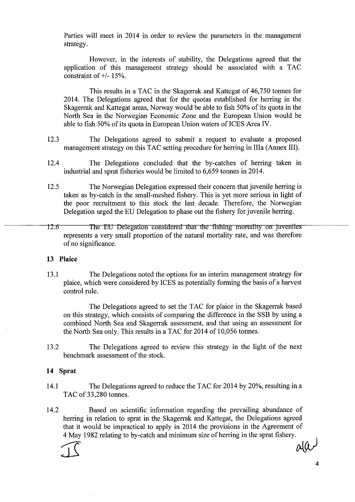Parties will meet in 2014 in order to review the parameters in the management strategy.

However, in the interests of stability, the Delegations agreed that the application of this management strategy should be associated with a TAC constraint of  $+/- 15%$ .

This results in a TAC in the Skagerrak and Kattegat of 46,750 tonnes for 2014. The Delegations agreed that for the quotas established for herring in the Skagerrak and Kattegat areas, Norway would be able to fish 50% of its quota in the North Sea in the Norwegian Economic Zone and the European Union would be able to fish 50% of its quota in European Union waters of ICES Area IV.

- 12.3 The Delegations agreed to submit a request to evaluate a proposed management strategy on this TAC setting procedure for herring in IIIa (Annex III).
- 12.4 The Delegations concluded that the by-catches of herring taken in industrial and sprat fisheries would be limited to 6,659 tonnes in 2014.
- 12.5 The Norwegian Delegation expressed their concern that juvenile herring is taken as by-catch in the small-meshed fishery. This is yet more serious in light of the poor recruitment to this stock the last decade. Therefore, the Norwegian Delegation urged the EU Delegation to phase out the fishery for juvenile herring.
- 12.6 The EU Delegation considered that the fishing mortality on juveniles represents a very small proportion of the natural mortality rate, and was therefore of no significance.

#### **13 Plaice**

13.1 The Delegations noted the options for an interim management strategy for plaice, which were considered by ICES as potentially forming the basis of a harvest control rule.

The Delegations agreed to set the TAC for plaice in the Skagerrak based on this strategy, which consists of comparing the difference in the SSB by using a combined North Sea and Skagerrak assessment, and that using an assessment for the North Sea only. This results in a TAC for 2014 of 10,056 tonnes.

13.2 The Delegations agreed to review this strategy in the light of the next benchmark assessment of the stock.

#### **14 Sprat**

- 14.1 The Delegations agreed to reduce the TAC for 2014 by 20%, resulting in a TAC of 33,280 tonnes.
- 14.2 Based on scientific information regarding the prevailing abundance of herring in relation to sprat in the Skagerrak and Kattegat, the Delegations agreed that it would be impractical to apply in 2014 the provisions in the Agreement of 4 May 1982 relating to by-catch and minimum size of herring in the sprat fishery.  $I = \text{ad}(u)$

4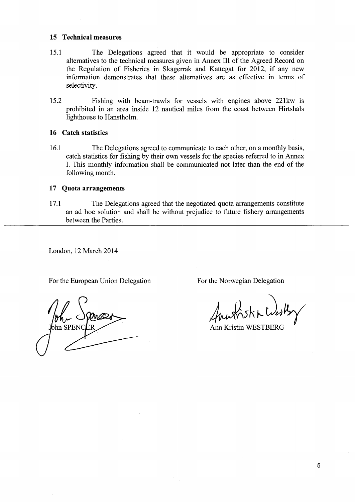#### **15 Technical measures**

- 15.1 The Delegations agreed that it would be appropriate to consider alternatives to the technical measures given in Annex III of the Agreed Record on the Regulation of Fisheries in Skagerrak and Kattegat for 2012, if any new information demonstrates that these alternatives are as effective in terms of selectivity.
- 15.2 Fishing with beam-trawls for vessels with engines above 221kw is prohibited in an area inside 12 nautical miles from the coast between Hirtshals lighthouse to Hanstholm.

### **16 Catch statistics**

16.1 The Delegations agreed to communicate to each other, on a monthly basis, catch statistics for fishing by their own vessels for the species referred to in Annex I. This monthly information shall be communicated not later than the end of the following month.

### **17 Quota arrangements**

17.1 The Delegations agreed that the negotiated quota arrangements constitute an ad hoc solution and shall be without prejudice to future fishery arrangements between the Parties.

London, 12 March 2014

For the European Union Delegation For the Norwegian Delegation

 $\sum_{n=1}^{\infty}$  SPENCER

 $M_{\rm W}$  Knst Kn $M_{\rm V}$ 

Ann Kristin WESTBERG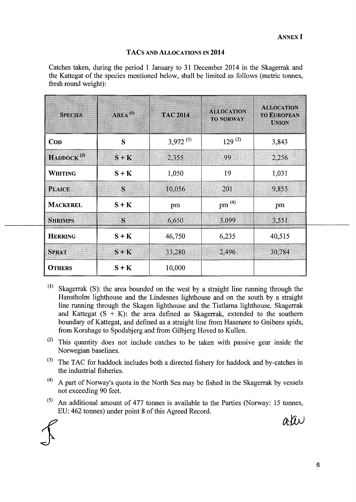#### TACs AND ALLOCATIONS IN **2014**

Catches taken, during the period 1 January to 31 December 2014 in the Skagerrak and the Kattegat of the species mentioned below, shall be limited as follows (metric tonnes, fresh round weight):

| <b>SPECIES</b>      | $AREA^{(1)}$   | <b>TAC 2014</b> | <b>ALLOCATION</b><br><b>TO NORWAY</b> | <b>ALLOCATION</b><br><b>TO EUROPEAN</b><br><b>UNION</b> |
|---------------------|----------------|-----------------|---------------------------------------|---------------------------------------------------------|
| <b>COD</b>          | S              | $3,972^{(5)}$   | $129^{(2)}$                           | 3,843                                                   |
| $H$ ADDOCK $^{(3)}$ | $S + K$        | 2,355           | 99                                    | 2,256                                                   |
| WHITING             | $S + K$        | 1,050           | 19                                    | 1,031                                                   |
| <b>PLAICE</b>       | $\overline{S}$ | 10,056          | 201                                   | 9,855                                                   |
| <b>MACKEREL</b>     | $S + K$        | pm              | pm $^{(4)}$                           | pm                                                      |
| <b>SHRIMPS</b>      | $\mathbf S$    | 6,650           | 3.099                                 | 3,551                                                   |
| <b>HERRING</b>      | $S + K$        | 46,750          | 6,235                                 | 40,515                                                  |
| <b>SPRAT</b>        | $S + K$        | 33,280          | 2,496                                 | 30,784                                                  |
| <b>OTHERS</b>       | $S + K$        | 10,000          |                                       |                                                         |

- $(1)$  Skagerrak (S): the area bounded on the west by a straight line running through the Hanstholm lighthouse and the Lindesnes lighthouse and on the south by a straight line running through the Skagen lighthouse and the Tistlarna lighthouse. Skagerrak and Kattegat  $(S + K)$ : the area defined as Skagerrak, extended to the southern boundary of Kattegat, and defined as a straight line from Hasenøre to Gnibens spids, from Korshage to Spodsbjerg and from Gilbjerg Hoved to Kullen.
- $(2)$  This quantity does not include catches to be taken with passive gear inside the Norwegian baselines.
- $^{(3)}$  The TAC for haddock includes both a directed fishery for haddock and by-catches in the industrial fisheries.
- ( 4 ) A part of Norway's quota in the North Sea may be fished in the Skagerrak by vessels not exceeding 90 feet.
- $(5)$  An additional amount of 477 tonnes is available to the Parties (Norway: 15 tonnes, EU: 462 tonnes) under point 8 of this Agreed Record.

ativ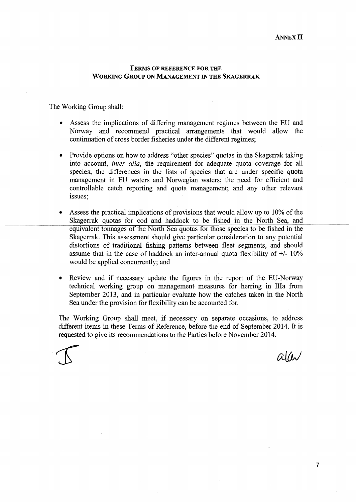### TERMS OF REFERENCE FOR THE WORKING GROUP ON MANAGEMENT IN THE SKAGERRAK

The Working Group shall:

- Assess the implications of differing management regimes between the EU and Norway and recommend practical arrangements that would allow the continuation of cross border fisheries under the different regimes;
- Provide options on how to address "other species" quotas in the Skagerrak taking into account, *inter alia,* the requirement for adequate quota coverage for all species; the differences in the lists of species that are under specific quota management in EU waters and Norwegian waters; the need for efficient and controllable catch reporting and quota management; and any other relevant issues;
- Assess the practical implications of provisions that would allow up to 10% of the Skagerrak quotas for cod and haddock to be fished in the North Sea, and equivalent tonnages of the North Sea quotas for those species to be fished in the Skagerrak. This assessment should give particular consideration to any potential distortions of traditional fishing patterns between fleet segments, and should assume that in the case of haddock an inter-annual quota flexibility of  $+/$ - 10% would be applied concurrently; and
- Review and if necessary update the figures in the report of the EU-Norway technical working group on management measures for herring in Ilia from September 2013, and in particular evaluate how the catches taken in the North Sea under the provision for flexibility can be accounted for.

The Working Group shall meet, if necessary on separate occasions, to address different items in these Terms of Reference, before the end of September 2014. It is requested to give its recommendations to the Parties before November 2014.

 $\alpha$ lw

7